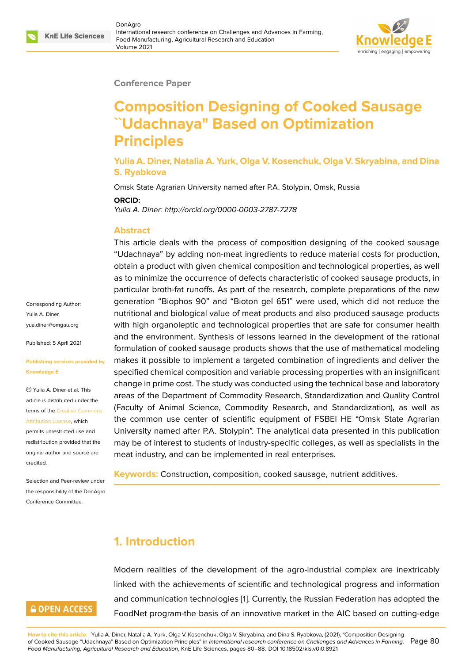#### **Conference Paper**

# **Composition Designing of Cooked Sausage ˋˋUdachnaya" Based on Optimization Principles**

**Yulia A. Diner, Natalia A. Yurk, Olga V. Kosenchuk, Olga V. Skryabina, and Dina S. Ryabkova**

Omsk State Agrarian University named after P.A. Stolypin, Omsk, Russia

#### **ORCID:**

*Yulia A. Diner: http://orcid.org/0000-0003-2787-7278*

#### **Abstract**

This article deals with the process of composition designing of the cooked sausage "Udachnaya" by adding non-meat ingredients to reduce material costs for production, obtain a product with given chemical composition and technological properties, as well as to minimize the occurrence of defects characteristic of cooked sausage products, in particular broth-fat runoffs. As part of the research, complete preparations of the new generation "Biophos 90" and "Bioton gel 651" were used, which did not reduce the nutritional and biological value of meat products and also produced sausage products with high organoleptic and technological properties that are safe for consumer health and the environment. Synthesis of lessons learned in the development of the rational formulation of cooked sausage products shows that the use of mathematical modeling makes it possible to implement a targeted combination of ingredients and deliver the specified chemical composition and variable processing properties with an insignificant change in prime cost. The study was conducted using the technical base and laboratory areas of the Department of Commodity Research, Standardization and Quality Control (Faculty of Animal Science, Commodity Research, and Standardization), as well as the common use center of scientific equipment of FSBEI HE "Omsk State Agrarian University named after P.A. Stolypin". The analytical data presented in this publication may be of interest to students of industry-specific colleges, as well as specialists in the meat industry, and can be implemented in real enterprises.

**Keywords:** Construction, composition, cooked sausage, nutrient additives.

#### **1. Introduction**

Modern realities of the development of the agro-industrial complex are inextricably linked with the achievements of scientific and technological progress and information and communication technologies [1]. Currently, the Russian Federation has adopted the FoodNet program-the basis of an innovative market in the AIC based on cutting-edge

Corresponding Author: Yulia A. Diner yua.diner@omgau.org

Published: 5 April 2021

#### **[Publishing services pr](mailto:yua.diner@omgau.org)ovided by Knowledge E**

Yulia A. Diner et al. This article is distributed under the terms of the Creative Commons Attribution License, which

permits unrestricted use and redistribution provided that the original auth[or and source are](https://creativecommons.org/licenses/by/4.0/) [credited.](https://creativecommons.org/licenses/by/4.0/)

Selection and Peer-review under the responsibility of the DonAgro Conference Committee.

### **GOPEN ACCESS**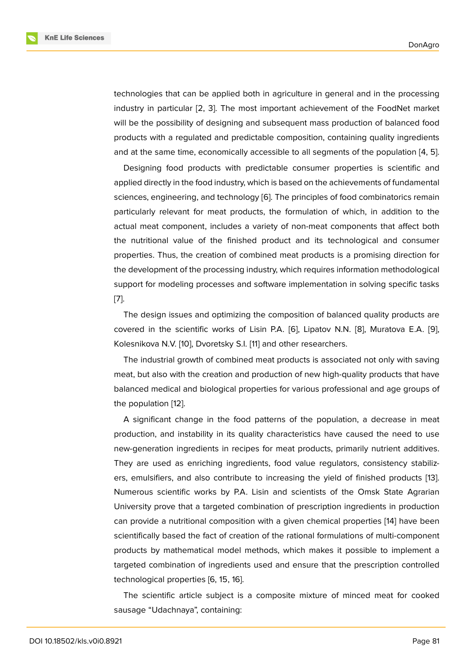technologies that can be applied both in agriculture in general and in the processing industry in particular [2, 3]. The most important achievement of the FoodNet market will be the possibility of designing and subsequent mass production of balanced food products with a regulated and predictable composition, containing quality ingredients and at the same time, [e](#page-7-1)c[on](#page-7-2)omically accessible to all segments of the population [4, 5].

Designing food products with predictable consumer properties is scientific and applied directly in the food industry, which is based on the achievements of fundamental sciences, engineering, and technology [6]. The principles of food combinatorics r[em](#page-7-3)[ain](#page-8-0) particularly relevant for meat products, the formulation of which, in addition to the actual meat component, includes a variety of non-meat components that affect both the nutritional value of the finished [pr](#page-8-1)oduct and its technological and consumer properties. Thus, the creation of combined meat products is a promising direction for the development of the processing industry, which requires information methodological support for modeling processes and software implementation in solving specific tasks [7].

The design issues and optimizing the composition of balanced quality products are covered in the scientific works of Lisin P.A. [6], Lipatov N.N. [8], Muratova E.A. [9], [Ko](#page-8-2)lesnikova N.V. [10], Dvoretsky S.I. [11] and other researchers.

The industrial growth of combined meat products is associated not only with saving meat, but also with the creation and productio[n o](#page-8-1)f new high-qua[lit](#page-8-3)y products that h[ave](#page-8-4) balanced medical [an](#page-8-5)d biological pro[pe](#page-8-6)rties for various professional and age groups of the population [12].

A significant change in the food patterns of the population, a decrease in meat production, and instability in its quality characteristics have caused the need to use new-generatio[n in](#page-8-7)gredients in recipes for meat products, primarily nutrient additives. They are used as enriching ingredients, food value regulators, consistency stabilizers, emulsifiers, and also contribute to increasing the yield of finished products [13]. Numerous scientific works by P.A. Lisin and scientists of the Omsk State Agrarian University prove that a targeted combination of prescription ingredients in production can provide a nutritional composition with a given chemical properties [14] have b[een](#page-8-8) scientifically based the fact of creation of the rational formulations of multi-component products by mathematical model methods, which makes it possible to implement a targeted combination of ingredients used and ensure that the prescrip[tion](#page-8-9) controlled technological properties [6, 15, 16].

The scientific article subject is a composite mixture of minced meat for cooked sausage "Udachnaya", containing: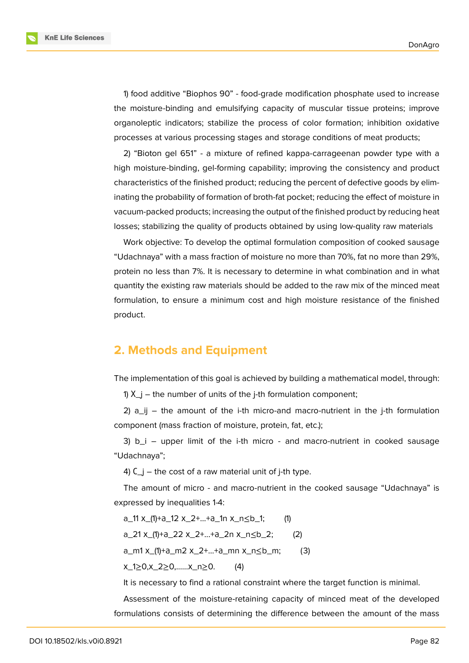**KnE Life Sciences** 

1) food additive "Biophos 90" - food-grade modification phosphate used to increase the moisture-binding and emulsifying capacity of muscular tissue proteins; improve organoleptic indicators; stabilize the process of color formation; inhibition oxidative processes at various processing stages and storage conditions of meat products;

2) "Bioton gel 651" - a mixture of refined kappa-carrageenan powder type with a high moisture-binding, gel-forming capability; improving the consistency and product characteristics of the finished product; reducing the percent of defective goods by eliminating the probability of formation of broth-fat pocket; reducing the effect of moisture in vacuum-packed products; increasing the output of the finished product by reducing heat losses; stabilizing the quality of products obtained by using low-quality raw materials

Work objective: To develop the optimal formulation composition of cooked sausage "Udachnaya" with a mass fraction of moisture no more than 70%, fat no more than 29%, protein no less than 7%. It is necessary to determine in what combination and in what quantity the existing raw materials should be added to the raw mix of the minced meat formulation, to ensure a minimum cost and high moisture resistance of the finished product.

#### **2. Methods and Equipment**

The implementation of this goal is achieved by building a mathematical model, through:

1)  $X_{-}$  – the number of units of the j-th formulation component;

2)  $a_{ij}$  – the amount of the i-th micro-and macro-nutrient in the j-th formulation component (mass fraction of moisture, protein, fat, etc.);

3)  $b_i$  – upper limit of the i-th micro - and macro-nutrient in cooked sausage "Udachnaya";

4)  $C_i$  – the cost of a raw material unit of j-th type.

The amount of micro - and macro-nutrient in the cooked sausage "Udachnaya" is expressed by inequalities 1-4:

a\_11 х\_(1)+а\_12 х\_2+...+а\_1n х\_n≤b\_1; (1)

a\_21 х\_(1)+а\_22 х\_2+...+а\_2n х\_n≤b\_2; (2)

a\_m1 х\_(1)+а\_m2 х\_2+...+а\_mn х\_n≤b\_m; (3)

х\_1≥0,х\_2≥0,……х\_n≥0. (4)

It is necessary to find a rational constraint where the target function is minimal.

Assessment of the moisture-retaining capacity of minced meat of the developed formulations consists of determining the difference between the amount of the mass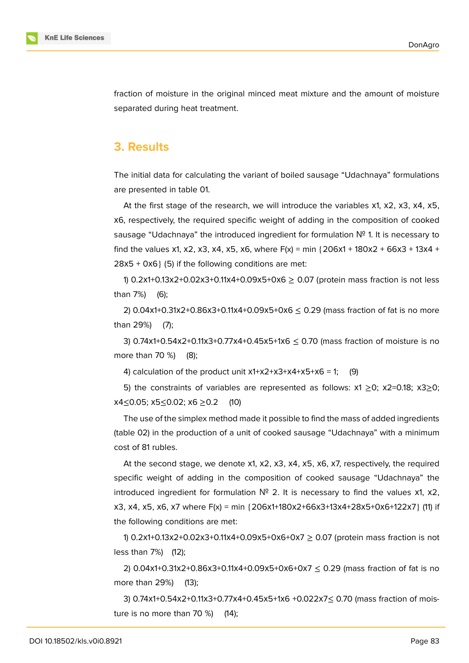

fraction of moisture in the original minced meat mixture and the amount of moisture separated during heat treatment.

#### **3. Results**

The initial data for calculating the variant of boiled sausage "Udachnaya" formulations are presented in table 01.

At the first stage of the research, we will introduce the variables x1, x2, x3, x4, x5, х6, respectively, the required specific weight of adding in the composition of cooked sausage "Udachnaya" the introduced ingredient for formulation  $N<sup>o</sup>$  1. It is necessary to find the values x1, x2, x3, x4, x5, x6, where  $F(x) = min \{206x1 + 180x2 + 66x3 + 13x4 + 12x3 + 13x4 + 12x3 + 12x4 + 12x3 + 12x4 + 12x3 + 12x4 + 12x3 + 12x4 + 12x3 + 12x4 + 12x3 + 12x4 + 12x5 + 12x5 + 12x5 + 12x5 + 12x5 + 12x5 + 12x5 + 12x5 + 12x5 + 12x$  $28x5 + 0x6$  (5) if the following conditions are met:

1) 0.2x1+0.13x2+0.02x3+0.11x4+0.09x5+0x6  $\geq$  0.07 (protein mass fraction is not less than 7%) (6);

2) 0.04x1+0.31x2+0.86x3+0.11x4+0.09x5+0x6  $\leq$  0.29 (mass fraction of fat is no more than 29%) (7);

3) 0.74x1+0.54x2+0.11x3+0.77x4+0.45x5+1x6  $\leq$  0.70 (mass fraction of moisture is no more than 70 %) (8);

4) calculation of the product unit  $x1+x2+x3+x4+x5+x6 = 1$ ; (9)

5) the constraints of variables are represented as follows:  $x1 \ge 0$ ;  $x2=0.18$ ;  $x3\ge 0$ ; х4≤0.05; х5≤0.02; х6 ≥0.2 (10)

The use of the simplex method made it possible to find the mass of added ingredients (table 02) in the production of a unit of cooked sausage "Udachnaya" with a minimum cost of 81 rubles.

At the second stage, we denote x1, x2, x3, x4, x5, x6, x7, respectively, the required specific weight of adding in the composition of cooked sausage "Udachnaya" the introduced ingredient for formulation  $N^{\circ}$  2. It is necessary to find the values x1, x2, х3, х4, х5, х6, х7 where F(x) = min {206х1+180х2+66х3+13х4+28х5+0х6+122х7} (11) if the following conditions are met:

1) 0.2х1+0.13х2+0.02х3+0.11х4+0.09х5+0х6+0х7 ≥ 0.07 (protein mass fraction is not less than 7%) (12);

2) 0.04x1+0.31x2+0.86x3+0.11x4+0.09x5+0x6+0x7  $\leq$  0.29 (mass fraction of fat is no more than 29%) (13);

3) 0.74х1+0.54х2+0.11х3+0.77х4+0.45х5+1х6 +0.022х7≤ 0.70 (mass fraction of moisture is no more than 70 %) (14);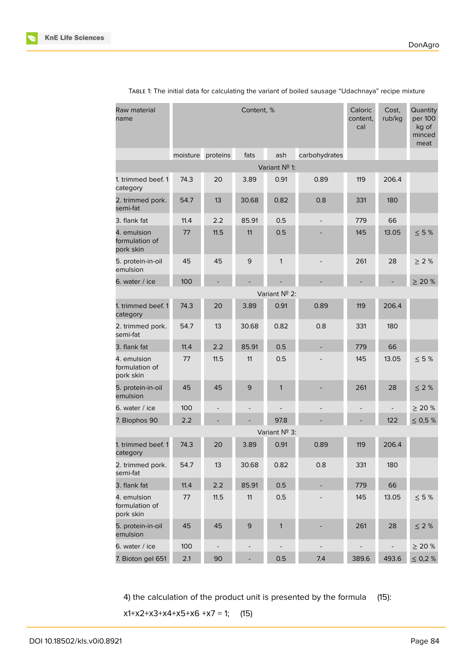

| Raw material<br>name                       | Content, % |          |                   |               | Caloric<br>content,<br>cal | Cost,<br>rub/kg | Quantity<br>per 100<br>kg of<br>minced<br>meat |              |
|--------------------------------------------|------------|----------|-------------------|---------------|----------------------------|-----------------|------------------------------------------------|--------------|
|                                            | moisture   | proteins | fats              | ash           | carbohydrates              |                 |                                                |              |
|                                            |            |          |                   | Variant Nº 1: |                            |                 |                                                |              |
| 1. trimmed beef. 1<br>category             | 74.3       | 20       | 3.89              | 0.91          | 0.89                       | 119             | 206.4                                          |              |
| 2. trimmed pork.<br>semi-fat               | 54.7       | 13       | 30.68             | 0.82          | 0.8                        | 331             | 180                                            |              |
| 3. flank fat                               | 11.4       | 2.2      | 85.91             | 0.5           |                            | 779             | 66                                             |              |
| 4. emulsion<br>formulation of<br>pork skin | 77         | 11.5     | 11                | 0.5           |                            | 145             | 13.05                                          | $\leq 5%$    |
| 5. protein-in-oil<br>emulsion              | 45         | 45       | $\mathsf 9$       | 1             |                            | 261             | 28                                             | $\geq$ 2 %   |
| 6. water / ice                             | 100        |          |                   |               |                            |                 |                                                | > 20%        |
|                                            |            |          |                   | Variant Nº 2: |                            |                 |                                                |              |
| 1. trimmed beef. 1<br>category             | 74.3       | 20       | 3.89              | 0.91          | 0.89                       | 119             | 206.4                                          |              |
| 2. trimmed pork.<br>semi-fat               | 54.7       | 13       | 30.68             | 0.82          | 0.8                        | 331             | 180                                            |              |
| 3. flank fat                               | 11.4       | 2.2      | 85.91             | 0.5           |                            | 779             | 66                                             |              |
| 4. emulsion<br>formulation of<br>pork skin | 77         | 11.5     | 11                | 0.5           |                            | 145             | 13.05                                          | $\leq 5$ %   |
| 5. protein-in-oil<br>emulsion              | 45         | 45       | 9                 | 1             |                            | 261             | 28                                             | $\leq$ 2 %   |
| 6. water / ice                             | 100        |          | $\qquad \qquad -$ |               |                            |                 |                                                | $\geq 20 \%$ |
| 7. Biophos 90                              | 2.2        |          |                   | 97.8          |                            |                 | 122                                            | $\leq 0.5$ % |
|                                            |            |          |                   | Variant Nº 3: |                            |                 |                                                |              |
| 1. trimmed beef. 1<br>category             | 74.3       | 20       | 3.89              | 0.91          | 0.89                       | 119             | 206.4                                          |              |
| 2. trimmed pork.<br>semi-fat               | 54.7       | 13       | 30.68             | 0.82          | 0.8                        | 331             | 180                                            |              |
| 3. flank fat                               | 11.4       | 2.2      | 85.91             | 0.5           | $\overline{\phantom{0}}$   | 779             | 66                                             |              |
| 4. emulsion<br>formulation of<br>pork skin | 77         | 11.5     | 11                | 0.5           |                            | 145             | 13.05                                          | $\leq 5$ %   |
| 5. protein-in-oil<br>emulsion              | 45         | 45       | 9                 | $\mathbf{1}$  |                            | 261             | 28                                             | $\leq$ 2 %   |
| 6. water / ice                             | 100        |          |                   |               |                            |                 |                                                | $\geq$ 20 %  |
| 7. Bioton gel 651                          | 2.1        | 90       |                   | 0.5           | 7.4                        | 389.6           | 493.6                                          | $\leq$ 0,2 % |

TABLE 1: The initial data for calculating the variant of boiled sausage "Udachnaya" recipe mixture

4) the calculation of the product unit is presented by the formula (15):

 $x1+x2+x3+x4+x5+x6+x7 = 1$ ; (15)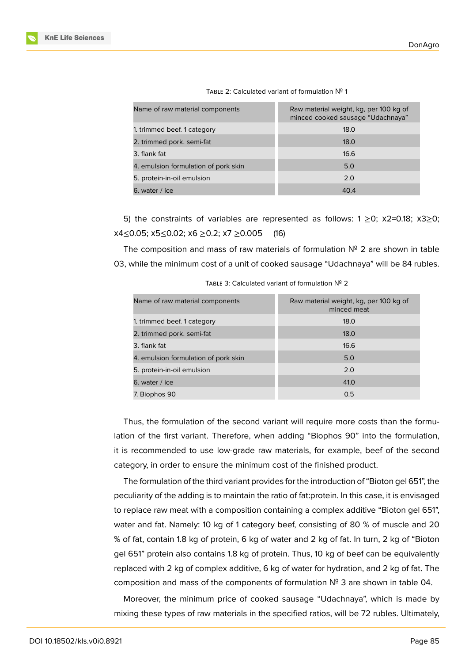| Name of raw material components      | Raw material weight, kg, per 100 kg of<br>minced cooked sausage "Udachnaya" |
|--------------------------------------|-----------------------------------------------------------------------------|
| 1. trimmed beef. 1 category          | 18.0                                                                        |
| 2. trimmed pork. semi-fat            | 18.0                                                                        |
| 3. flank fat                         | 16.6                                                                        |
| 4. emulsion formulation of pork skin | 5.0                                                                         |
| 5. protein-in-oil emulsion           | 2.0                                                                         |
| 6. water / ice                       | 40.4                                                                        |

| TABLE 2: Calculated variant of formulation $N^{\circ}$ 1 |  |
|----------------------------------------------------------|--|
|----------------------------------------------------------|--|

5) the constraints of variables are represented as follows:  $1 \ge 0$ ;  $x2=0.18$ ;  $x3\ge 0$ ; х4≤0.05; х5≤0.02; х6 ≥0.2; х7 ≥0.005 (16)

The composition and mass of raw materials of formulation  $N^{\circ}$  2 are shown in table 03, while the minimum cost of a unit of cooked sausage "Udachnaya" will be 84 rubles.

| Raw material weight, kg, per 100 kg of<br>minced meat |
|-------------------------------------------------------|
| 18.0                                                  |
| 18.0                                                  |
| 16.6                                                  |
| 5.0                                                   |
| 2.0                                                   |
| 41.0                                                  |
| 0.5                                                   |
|                                                       |

TABLE 3: Calculated variant of formulation № 2

Thus, the formulation of the second variant will require more costs than the formulation of the first variant. Therefore, when adding "Biophos 90" into the formulation, it is recommended to use low-grade raw materials, for example, beef of the second category, in order to ensure the minimum cost of the finished product.

The formulation of the third variant provides for the introduction of "Bioton gel 651", the peculiarity of the adding is to maintain the ratio of fat:protein. In this case, it is envisaged to replace raw meat with a composition containing a complex additive "Bioton gel 651", water and fat. Namely: 10 kg of 1 category beef, consisting of 80 % of muscle and 20 % of fat, contain 1.8 kg of protein, 6 kg of water and 2 kg of fat. In turn, 2 kg of "Bioton gel 651" protein also contains 1.8 kg of protein. Thus, 10 kg of beef can be equivalently replaced with 2 kg of complex additive, 6 kg of water for hydration, and 2 kg of fat. The composition and mass of the components of formulation  $N^2$  3 are shown in table 04.

Moreover, the minimum price of cooked sausage "Udachnaya", which is made by mixing these types of raw materials in the specified ratios, will be 72 rubles. Ultimately,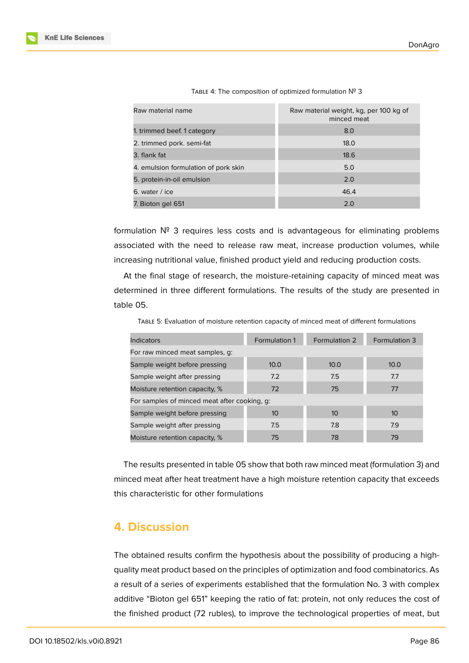| Raw material name                    | Raw material weight, kg, per 100 kg of<br>minced meat |
|--------------------------------------|-------------------------------------------------------|
| 1. trimmed beef. 1 category          | 8.0                                                   |
| 2. trimmed pork. semi-fat            | 18.0                                                  |
| 3. flank fat                         | 18.6                                                  |
| 4. emulsion formulation of pork skin | 5.0                                                   |
| 5. protein-in-oil emulsion           | 2.0                                                   |
| 6. water / ice                       | 46.4                                                  |
| 7. Bioton gel 651                    | 2.0                                                   |

TABLE 4: The composition of optimized formulation № 3

formulation № 3 requires less costs and is advantageous for eliminating problems associated with the need to release raw meat, increase production volumes, while increasing nutritional value, finished product yield and reducing production costs.

At the final stage of research, the moisture-retaining capacity of minced meat was determined in three different formulations. The results of the study are presented in table 05.

TABLE 5: Evaluation of moisture retention capacity of minced meat of different formulations

| <b>Indicators</b>                            | <b>Formulation 1</b> | Formulation 2 | Formulation 3 |  |  |  |
|----------------------------------------------|----------------------|---------------|---------------|--|--|--|
| For raw minced meat samples, g:              |                      |               |               |  |  |  |
| Sample weight before pressing                | 10.0                 | 10.0          | 10.0          |  |  |  |
| Sample weight after pressing                 | 7.2                  | 7.5           | 7.7           |  |  |  |
| Moisture retention capacity, %               | 72                   | 75            | 77            |  |  |  |
| For samples of minced meat after cooking, q: |                      |               |               |  |  |  |
| Sample weight before pressing                | 10 <sup>°</sup>      | 10            | 10            |  |  |  |
| Sample weight after pressing                 | 7.5                  | 7.8           | 7.9           |  |  |  |
| Moisture retention capacity, %               | 75                   | 78            | 79            |  |  |  |

The results presented in table 05 show that both raw minced meat (formulation 3) and minced meat after heat treatment have a high moisture retention capacity that exceeds this characteristic for other formulations

#### **4. Discussion**

The obtained results confirm the hypothesis about the possibility of producing a highquality meat product based on the principles of optimization and food combinatorics. As a result of a series of experiments established that the formulation No. 3 with complex additive "Bioton gel 651" keeping the ratio of fat: protein, not only reduces the cost of the finished product (72 rubles), to improve the technological properties of meat, but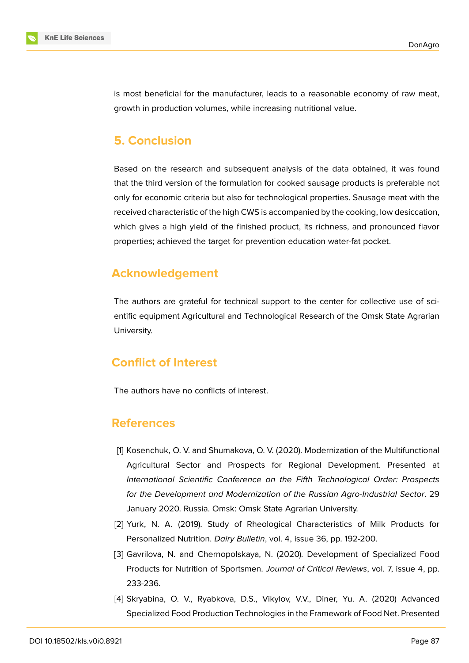

is most beneficial for the manufacturer, leads to a reasonable economy of raw meat, growth in production volumes, while increasing nutritional value.

### **5. Conclusion**

Based on the research and subsequent analysis of the data obtained, it was found that the third version of the formulation for cooked sausage products is preferable not only for economic criteria but also for technological properties. Sausage meat with the received characteristic of the high CWS is accompanied by the cooking, low desiccation, which gives a high yield of the finished product, its richness, and pronounced flavor properties; achieved the target for prevention education water-fat pocket.

## **Acknowledgement**

The authors are grateful for technical support to the center for collective use of scientific equipment Agricultural and Technological Research of the Omsk State Agrarian University.

# **Conflict of Interest**

The authors have no conflicts of interest.

#### **References**

- <span id="page-7-0"></span>[1] Kosenchuk, O. V. and Shumakova, O. V. (2020). Modernization of the Multifunctional Agricultural Sector and Prospects for Regional Development. Presented at *International Scientific Conference on the Fifth Technological Order: Prospects for the Development and Modernization of the Russian Agro-Industrial Sector*. 29 January 2020. Russia. Omsk: Omsk State Agrarian University.
- <span id="page-7-1"></span>[2] Yurk, N. A. (2019). Study of Rheological Characteristics of Milk Products for Personalized Nutrition. *Dairy Bulletin*, vol. 4, issue 36, pp. 192-200.
- <span id="page-7-2"></span>[3] Gavrilova, N. and Chernopolskaya, N. (2020). Development of Specialized Food Products for Nutrition of Sportsmen. *Journal of Critical Reviews*, vol. 7, issue 4, pp. 233-236.
- <span id="page-7-3"></span>[4] Skryabina, O. V., Ryabkova, D.S., Vikylov, V.V., Diner, Yu. A. (2020) Advanced Specialized Food Production Technologies in the Framework of Food Net. Presented